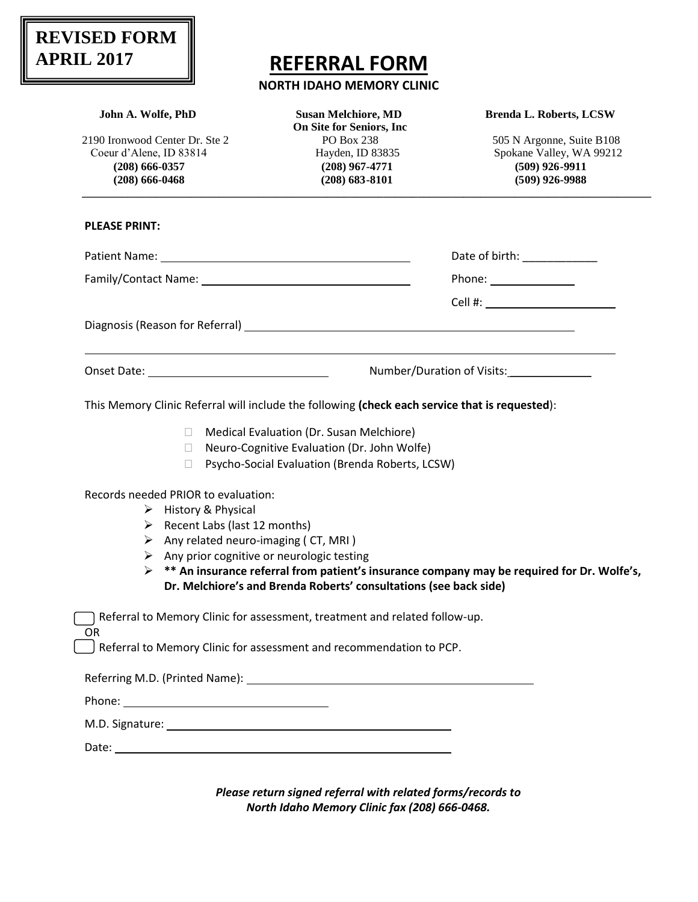## **REVISED FORM APRIL 2017**

## **REFERRAL FORM**

## **NORTH IDAHO MEMORY CLINIC**

| John A. Wolfe, PhD                                         | <b>Susan Melchiore, MD</b><br><b>On Site for Seniors, Inc.</b>                                 | <b>Brenda L. Roberts, LCSW</b>                                                                              |
|------------------------------------------------------------|------------------------------------------------------------------------------------------------|-------------------------------------------------------------------------------------------------------------|
| 2190 Ironwood Center Dr. Ste 2                             | PO Box 238                                                                                     | 505 N Argonne, Suite B108                                                                                   |
| Coeur d'Alene, ID 83814                                    | Hayden, ID 83835                                                                               | Spokane Valley, WA 99212                                                                                    |
| $(208) 666 - 0357$                                         | $(208)$ 967-4771                                                                               | $(509)$ 926-9911                                                                                            |
| $(208) 666 - 0468$                                         | $(208) 683 - 8101$                                                                             | $(509)$ 926-9988                                                                                            |
| <b>PLEASE PRINT:</b>                                       |                                                                                                |                                                                                                             |
|                                                            |                                                                                                | Date of birth: _____________                                                                                |
|                                                            |                                                                                                |                                                                                                             |
|                                                            |                                                                                                |                                                                                                             |
|                                                            |                                                                                                |                                                                                                             |
|                                                            |                                                                                                | Number/Duration of Visits:                                                                                  |
|                                                            | This Memory Clinic Referral will include the following (check each service that is requested): |                                                                                                             |
|                                                            |                                                                                                |                                                                                                             |
|                                                            |                                                                                                |                                                                                                             |
| $\Box$                                                     | Medical Evaluation (Dr. Susan Melchiore)                                                       |                                                                                                             |
| $\mathbb{R}$                                               | Neuro-Cognitive Evaluation (Dr. John Wolfe)                                                    |                                                                                                             |
| $\Box$                                                     | Psycho-Social Evaluation (Brenda Roberts, LCSW)                                                |                                                                                                             |
| Records needed PRIOR to evaluation:                        |                                                                                                |                                                                                                             |
| $\triangleright$ History & Physical                        |                                                                                                |                                                                                                             |
| $\triangleright$ Recent Labs (last 12 months)              |                                                                                                |                                                                                                             |
| $\triangleright$ Any related neuro-imaging (CT, MRI)       |                                                                                                |                                                                                                             |
| $\triangleright$ Any prior cognitive or neurologic testing |                                                                                                |                                                                                                             |
|                                                            |                                                                                                | $\triangleright$ ** An insurance referral from patient's insurance company may be required for Dr. Wolfe's, |
|                                                            | Dr. Melchiore's and Brenda Roberts' consultations (see back side)                              |                                                                                                             |
|                                                            | Referral to Memory Clinic for assessment, treatment and related follow-up.                     |                                                                                                             |
| OR.                                                        | Referral to Memory Clinic for assessment and recommendation to PCP.                            |                                                                                                             |
|                                                            |                                                                                                |                                                                                                             |
|                                                            |                                                                                                |                                                                                                             |
|                                                            |                                                                                                |                                                                                                             |

*Please return signed referral with related forms/records to North Idaho Memory Clinic fax (208) 666-0468.*